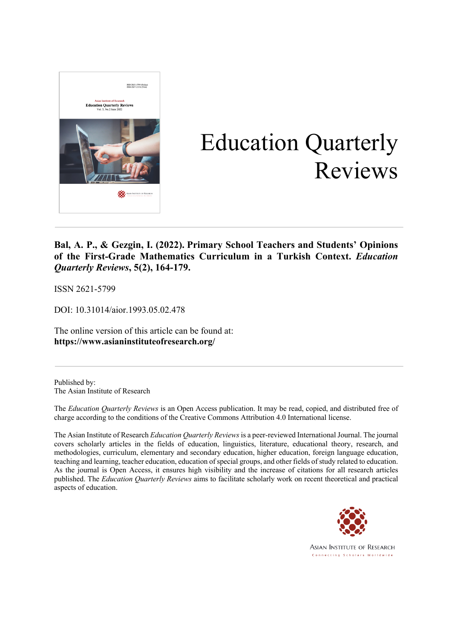

# Education Quarterly Reviews

### **Bal, A. P., & Gezgin, I. (2022). Primary School Teachers and Students' Opinions of the First-Grade Mathematics Curriculum in a Turkish Context.** *Education Quarterly Reviews***, 5(2), 164-179.**

ISSN 2621-5799

DOI: 10.31014/aior.1993.05.02.478

The online version of this article can be found at: **https://www.asianinstituteofresearch.org/**

Published by: The Asian Institute of Research

The *Education Quarterly Reviews* is an Open Access publication. It may be read, copied, and distributed free of charge according to the conditions of the Creative Commons Attribution 4.0 International license.

The Asian Institute of Research *Education Quarterly Reviews* is a peer-reviewed International Journal. The journal covers scholarly articles in the fields of education, linguistics, literature, educational theory, research, and methodologies, curriculum, elementary and secondary education, higher education, foreign language education, teaching and learning, teacher education, education of special groups, and other fields of study related to education. As the journal is Open Access, it ensures high visibility and the increase of citations for all research articles published. The *Education Quarterly Reviews* aims to facilitate scholarly work on recent theoretical and practical aspects of education.



**ASIAN INSTITUTE OF RESEARCH** Connecting Scholars Worldwide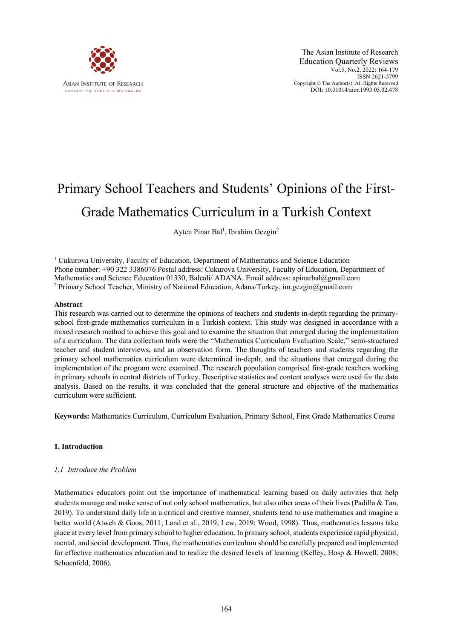

The Asian Institute of Research Education Quarterly Reviews Vol.5, No.2, 2022: 164-179 ISSN 2621-5799 Copyright © The Author(s). All Rights Reserved DOI: 10.31014/aior.1993.05.02.478

## Primary School Teachers and Students' Opinions of the First-Grade Mathematics Curriculum in a Turkish Context

Ayten Pinar Bal<sup>1</sup>, Ibrahim Gezgin<sup>2</sup>

<sup>1</sup> Cukurova University, Faculty of Education, Department of Mathematics and Science Education Phone number: +90 322 3386076 Postal address: Cukurova University, Faculty of Education, Department of Mathematics and Science Education 01330, Balcali/ ADANA. Email address: apinarbal@gmail.com <sup>2</sup> Primary School Teacher, Ministry of National Education, Adana/Turkey, im.gezgin@gmail.com

#### **Abstract**

This research was carried out to determine the opinions of teachers and students in-depth regarding the primaryschool first-grade mathematics curriculum in a Turkish context. This study was designed in accordance with a mixed research method to achieve this goal and to examine the situation that emerged during the implementation of a curriculum. The data collection tools were the "Mathematics Curriculum Evaluation Scale," semi-structured teacher and student interviews, and an observation form. The thoughts of teachers and students regarding the primary school mathematics curriculum were determined in-depth, and the situations that emerged during the implementation of the program were examined. The research population comprised first-grade teachers working in primary schools in central districts of Turkey. Descriptive statistics and content analyses were used for the data analysis. Based on the results, it was concluded that the general structure and objective of the mathematics curriculum were sufficient.

**Keywords:** Mathematics Curriculum, Curriculum Evaluation, Primary School, First Grade Mathematics Course

#### **1. Introduction**

#### *1.1 Introduce the Problem*

Mathematics educators point out the importance of mathematical learning based on daily activities that help students manage and make sense of not only school mathematics, but also other areas of their lives (Padilla & Tan, 2019). To understand daily life in a critical and creative manner, students tend to use mathematics and imagine a better world (Atweh & Goos, 2011; Land et al., 2019; Lew, 2019; Wood, 1998). Thus, mathematics lessons take place at every level from primary school to higher education. In primary school, students experience rapid physical, mental, and social development. Thus, the mathematics curriculum should be carefully prepared and implemented for effective mathematics education and to realize the desired levels of learning (Kelley, Hosp & Howell, 2008; Schoenfeld, 2006).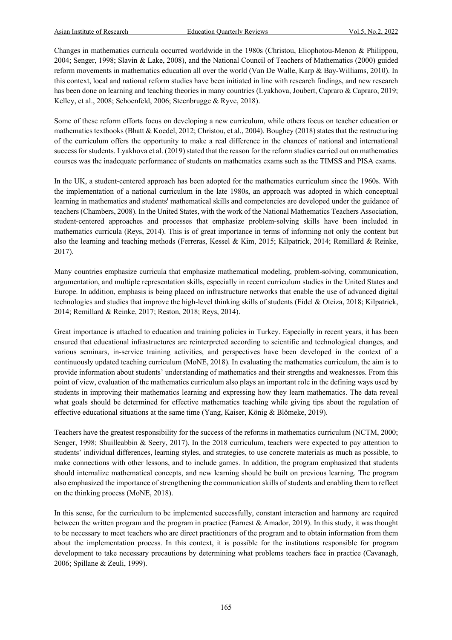Changes in mathematics curricula occurred worldwide in the 1980s (Christou, Eliophotou-Menon & Philippou, 2004; Senger, 1998; Slavin & Lake, 2008), and the National Council of Teachers of Mathematics (2000) guided reform movements in mathematics education all over the world (Van De Walle, Karp & Bay-Williams, 2010). In this context, local and national reform studies have been initiated in line with research findings, and new research has been done on learning and teaching theories in many countries (Lyakhova, Joubert, Capraro & Capraro, 2019; Kelley, et al., 2008; Schoenfeld, 2006; Steenbrugge & Ryve, 2018).

Some of these reform efforts focus on developing a new curriculum, while others focus on teacher education or mathematics textbooks (Bhatt & Koedel, 2012; Christou, et al., 2004). Boughey (2018) states that the restructuring of the curriculum offers the opportunity to make a real difference in the chances of national and international success for students. Lyakhova et al. (2019) stated that the reason for the reform studies carried out on mathematics courses was the inadequate performance of students on mathematics exams such as the TIMSS and PISA exams.

In the UK, a student-centered approach has been adopted for the mathematics curriculum since the 1960s. With the implementation of a national curriculum in the late 1980s, an approach was adopted in which conceptual learning in mathematics and students' mathematical skills and competencies are developed under the guidance of teachers (Chambers, 2008). In the United States, with the work of the National Mathematics Teachers Association, student-centered approaches and processes that emphasize problem-solving skills have been included in mathematics curricula (Reys, 2014). This is of great importance in terms of informing not only the content but also the learning and teaching methods (Ferreras, Kessel & Kim, 2015; Kilpatrick, 2014; Remillard & Reinke, 2017).

Many countries emphasize curricula that emphasize mathematical modeling, problem-solving, communication, argumentation, and multiple representation skills, especially in recent curriculum studies in the United States and Europe. In addition, emphasis is being placed on infrastructure networks that enable the use of advanced digital technologies and studies that improve the high-level thinking skills of students (Fidel & Oteiza, 2018; Kilpatrick, 2014; Remillard & Reinke, 2017; Reston, 2018; Reys, 2014).

Great importance is attached to education and training policies in Turkey. Especially in recent years, it has been ensured that educational infrastructures are reinterpreted according to scientific and technological changes, and various seminars, in-service training activities, and perspectives have been developed in the context of a continuously updated teaching curriculum (MoNE, 2018). In evaluating the mathematics curriculum, the aim is to provide information about students' understanding of mathematics and their strengths and weaknesses. From this point of view, evaluation of the mathematics curriculum also plays an important role in the defining ways used by students in improving their mathematics learning and expressing how they learn mathematics. The data reveal what goals should be determined for effective mathematics teaching while giving tips about the regulation of effective educational situations at the same time (Yang, Kaiser, König & Blömeke, 2019).

Teachers have the greatest responsibility for the success of the reforms in mathematics curriculum (NCTM, 2000; Senger, 1998; Shuilleabbin & Seery, 2017). In the 2018 curriculum, teachers were expected to pay attention to students' individual differences, learning styles, and strategies, to use concrete materials as much as possible, to make connections with other lessons, and to include games. In addition, the program emphasized that students should internalize mathematical concepts, and new learning should be built on previous learning. The program also emphasized the importance of strengthening the communication skills of students and enabling them to reflect on the thinking process (MoNE, 2018).

In this sense, for the curriculum to be implemented successfully, constant interaction and harmony are required between the written program and the program in practice (Earnest & Amador, 2019). In this study, it was thought to be necessary to meet teachers who are direct practitioners of the program and to obtain information from them about the implementation process. In this context, it is possible for the institutions responsible for program development to take necessary precautions by determining what problems teachers face in practice (Cavanagh, 2006; Spillane & Zeuli, 1999).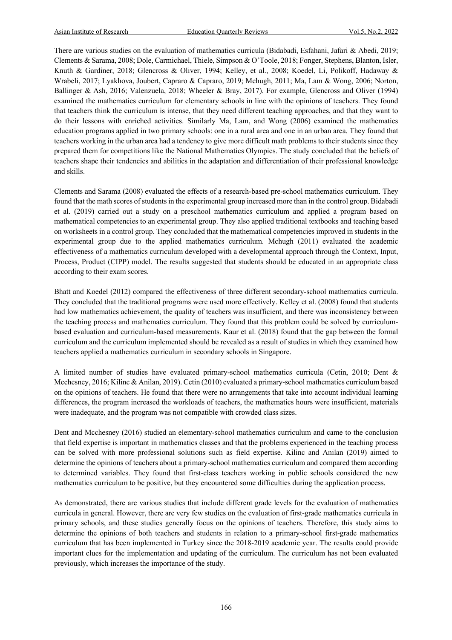There are various studies on the evaluation of mathematics curricula (Bidabadi, Esfahani, Jafari & Abedi, 2019; Clements & Sarama, 2008; Dole, Carmichael, Thiele, Simpson & O'Toole, 2018; Fonger, Stephens, Blanton, Isler, Knuth & Gardiner, 2018; Glencross & Oliver, 1994; Kelley, et al., 2008; Koedel, Li, Polikoff, Hadaway & Wrabeli, 2017; Lyakhova, Joubert, Capraro & Capraro, 2019; Mchugh, 2011; Ma, Lam & Wong, 2006; Norton, Ballinger & Ash, 2016; Valenzuela, 2018; Wheeler & Bray, 2017). For example, Glencross and Oliver (1994) examined the mathematics curriculum for elementary schools in line with the opinions of teachers. They found that teachers think the curriculum is intense, that they need different teaching approaches, and that they want to do their lessons with enriched activities. Similarly Ma, Lam, and Wong (2006) examined the mathematics education programs applied in two primary schools: one in a rural area and one in an urban area. They found that teachers working in the urban area had a tendency to give more difficult math problems to their students since they prepared them for competitions like the National Mathematics Olympics. The study concluded that the beliefs of teachers shape their tendencies and abilities in the adaptation and differentiation of their professional knowledge and skills.

Clements and Sarama (2008) evaluated the effects of a research-based pre-school mathematics curriculum. They found that the math scores of students in the experimental group increased more than in the control group. Bidabadi et al. (2019) carried out a study on a preschool mathematics curriculum and applied a program based on mathematical competencies to an experimental group. They also applied traditional textbooks and teaching based on worksheets in a control group. They concluded that the mathematical competencies improved in students in the experimental group due to the applied mathematics curriculum. Mchugh (2011) evaluated the academic effectiveness of a mathematics curriculum developed with a developmental approach through the Context, Input, Process, Product (CIPP) model. The results suggested that students should be educated in an appropriate class according to their exam scores.

Bhatt and Koedel (2012) compared the effectiveness of three different secondary-school mathematics curricula. They concluded that the traditional programs were used more effectively. Kelley et al. (2008) found that students had low mathematics achievement, the quality of teachers was insufficient, and there was inconsistency between the teaching process and mathematics curriculum. They found that this problem could be solved by curriculumbased evaluation and curriculum-based measurements. Kaur et al. (2018) found that the gap between the formal curriculum and the curriculum implemented should be revealed as a result of studies in which they examined how teachers applied a mathematics curriculum in secondary schools in Singapore.

A limited number of studies have evaluated primary-school mathematics curricula (Cetin, 2010; Dent & Mcchesney, 2016; Kilinc & Anilan, 2019). Cetin (2010) evaluated a primary-school mathematics curriculum based on the opinions of teachers. He found that there were no arrangements that take into account individual learning differences, the program increased the workloads of teachers, the mathematics hours were insufficient, materials were inadequate, and the program was not compatible with crowded class sizes.

Dent and Mcchesney (2016) studied an elementary-school mathematics curriculum and came to the conclusion that field expertise is important in mathematics classes and that the problems experienced in the teaching process can be solved with more professional solutions such as field expertise. Kilinc and Anilan (2019) aimed to determine the opinions of teachers about a primary-school mathematics curriculum and compared them according to determined variables. They found that first-class teachers working in public schools considered the new mathematics curriculum to be positive, but they encountered some difficulties during the application process.

As demonstrated, there are various studies that include different grade levels for the evaluation of mathematics curricula in general. However, there are very few studies on the evaluation of first-grade mathematics curricula in primary schools, and these studies generally focus on the opinions of teachers. Therefore, this study aims to determine the opinions of both teachers and students in relation to a primary-school first-grade mathematics curriculum that has been implemented in Turkey since the 2018-2019 academic year. The results could provide important clues for the implementation and updating of the curriculum. The curriculum has not been evaluated previously, which increases the importance of the study.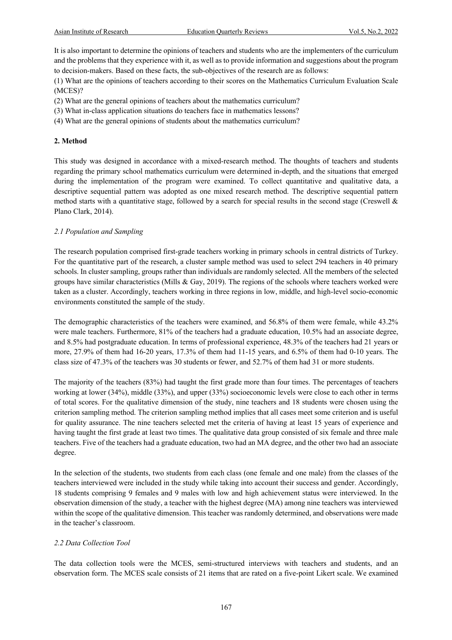It is also important to determine the opinions of teachers and students who are the implementers of the curriculum and the problems that they experience with it, as well as to provide information and suggestions about the program to decision-makers. Based on these facts, the sub-objectives of the research are as follows:

(1) What are the opinions of teachers according to their scores on the Mathematics Curriculum Evaluation Scale (MCES)?

- (2) What are the general opinions of teachers about the mathematics curriculum?
- (3) What in-class application situations do teachers face in mathematics lessons?
- (4) What are the general opinions of students about the mathematics curriculum?

#### **2. Method**

This study was designed in accordance with a mixed-research method. The thoughts of teachers and students regarding the primary school mathematics curriculum were determined in-depth, and the situations that emerged during the implementation of the program were examined. To collect quantitative and qualitative data, a descriptive sequential pattern was adopted as one mixed research method. The descriptive sequential pattern method starts with a quantitative stage, followed by a search for special results in the second stage (Creswell  $\&$ Plano Clark, 2014).

#### *2.1 Population and Sampling*

The research population comprised first-grade teachers working in primary schools in central districts of Turkey. For the quantitative part of the research, a cluster sample method was used to select 294 teachers in 40 primary schools. In cluster sampling, groups rather than individuals are randomly selected. All the members of the selected groups have similar characteristics (Mills & Gay, 2019). The regions of the schools where teachers worked were taken as a cluster. Accordingly, teachers working in three regions in low, middle, and high-level socio-economic environments constituted the sample of the study.

The demographic characteristics of the teachers were examined, and 56.8% of them were female, while 43.2% were male teachers. Furthermore, 81% of the teachers had a graduate education, 10.5% had an associate degree, and 8.5% had postgraduate education. In terms of professional experience, 48.3% of the teachers had 21 years or more, 27.9% of them had 16-20 years, 17.3% of them had 11-15 years, and 6.5% of them had 0-10 years. The class size of 47.3% of the teachers was 30 students or fewer, and 52.7% of them had 31 or more students.

The majority of the teachers (83%) had taught the first grade more than four times. The percentages of teachers working at lower (34%), middle (33%), and upper (33%) socioeconomic levels were close to each other in terms of total scores. For the qualitative dimension of the study, nine teachers and 18 students were chosen using the criterion sampling method. The criterion sampling method implies that all cases meet some criterion and is useful for quality assurance. The nine teachers selected met the criteria of having at least 15 years of experience and having taught the first grade at least two times. The qualitative data group consisted of six female and three male teachers. Five of the teachers had a graduate education, two had an MA degree, and the other two had an associate degree.

In the selection of the students, two students from each class (one female and one male) from the classes of the teachers interviewed were included in the study while taking into account their success and gender. Accordingly, 18 students comprising 9 females and 9 males with low and high achievement status were interviewed. In the observation dimension of the study, a teacher with the highest degree (MA) among nine teachers was interviewed within the scope of the qualitative dimension. This teacher was randomly determined, and observations were made in the teacher's classroom.

#### *2.2 Data Collection Tool*

The data collection tools were the MCES, semi-structured interviews with teachers and students, and an observation form. The MCES scale consists of 21 items that are rated on a five-point Likert scale. We examined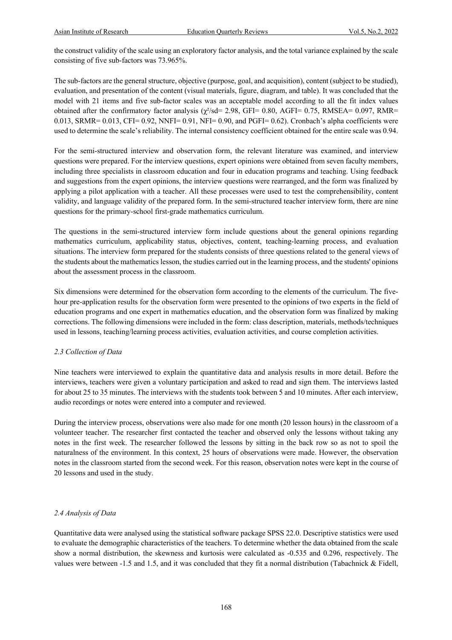the construct validity of the scale using an exploratory factor analysis, and the total variance explained by the scale consisting of five sub-factors was 73.965%.

The sub-factors are the general structure, objective (purpose, goal, and acquisition), content (subject to be studied), evaluation, and presentation of the content (visual materials, figure, diagram, and table). It was concluded that the model with 21 items and five sub-factor scales was an acceptable model according to all the fit index values obtained after the confirmatory factor analysis ( $\chi^2$ /sd= 2.98, GFI= 0.80, AGFI= 0.75, RMSEA= 0.097, RMR=  $0.013$ , SRMR=  $0.013$ , CFI=  $0.92$ , NNFI=  $0.91$ , NFI=  $0.90$ , and PGFI=  $0.62$ ). Cronbach's alpha coefficients were used to determine the scale's reliability. The internal consistency coefficient obtained for the entire scale was 0.94.

For the semi-structured interview and observation form, the relevant literature was examined, and interview questions were prepared. For the interview questions, expert opinions were obtained from seven faculty members, including three specialists in classroom education and four in education programs and teaching. Using feedback and suggestions from the expert opinions, the interview questions were rearranged, and the form was finalized by applying a pilot application with a teacher. All these processes were used to test the comprehensibility, content validity, and language validity of the prepared form. In the semi-structured teacher interview form, there are nine questions for the primary-school first-grade mathematics curriculum.

The questions in the semi-structured interview form include questions about the general opinions regarding mathematics curriculum, applicability status, objectives, content, teaching-learning process, and evaluation situations. The interview form prepared for the students consists of three questions related to the general views of the students about the mathematics lesson, the studies carried out in the learning process, and the students' opinions about the assessment process in the classroom.

Six dimensions were determined for the observation form according to the elements of the curriculum. The fivehour pre-application results for the observation form were presented to the opinions of two experts in the field of education programs and one expert in mathematics education, and the observation form was finalized by making corrections. The following dimensions were included in the form: class description, materials, methods/techniques used in lessons, teaching/learning process activities, evaluation activities, and course completion activities.

#### *2.3 Collection of Data*

Nine teachers were interviewed to explain the quantitative data and analysis results in more detail. Before the interviews, teachers were given a voluntary participation and asked to read and sign them. The interviews lasted for about 25 to 35 minutes. The interviews with the students took between 5 and 10 minutes. After each interview, audio recordings or notes were entered into a computer and reviewed.

During the interview process, observations were also made for one month (20 lesson hours) in the classroom of a volunteer teacher. The researcher first contacted the teacher and observed only the lessons without taking any notes in the first week. The researcher followed the lessons by sitting in the back row so as not to spoil the naturalness of the environment. In this context, 25 hours of observations were made. However, the observation notes in the classroom started from the second week. For this reason, observation notes were kept in the course of 20 lessons and used in the study.

#### *2.4 Analysis of Data*

Quantitative data were analysed using the statistical software package SPSS 22.0. Descriptive statistics were used to evaluate the demographic characteristics of the teachers. To determine whether the data obtained from the scale show a normal distribution, the skewness and kurtosis were calculated as -0.535 and 0.296, respectively. The values were between -1.5 and 1.5, and it was concluded that they fit a normal distribution (Tabachnick & Fidell,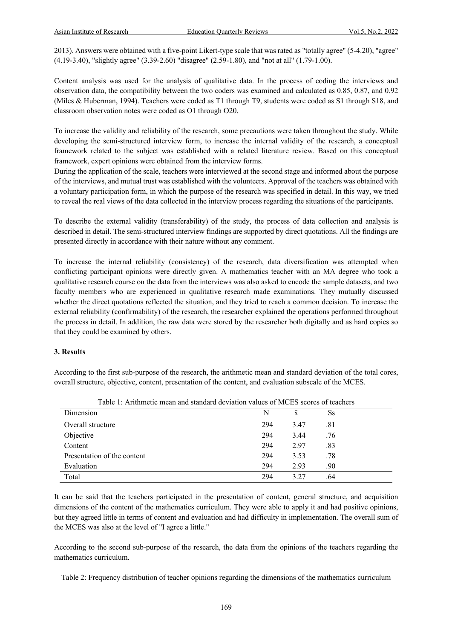2013). Answers were obtained with a five-point Likert-type scale that was rated as "totally agree" (5-4.20), "agree" (4.19-3.40), "slightly agree" (3.39-2.60) "disagree" (2.59-1.80), and "not at all" (1.79-1.00).

Content analysis was used for the analysis of qualitative data. In the process of coding the interviews and observation data, the compatibility between the two coders was examined and calculated as 0.85, 0.87, and 0.92 (Miles & Huberman, 1994). Teachers were coded as T1 through T9, students were coded as S1 through S18, and classroom observation notes were coded as O1 through O20.

To increase the validity and reliability of the research, some precautions were taken throughout the study. While developing the semi-structured interview form, to increase the internal validity of the research, a conceptual framework related to the subject was established with a related literature review. Based on this conceptual framework, expert opinions were obtained from the interview forms.

During the application of the scale, teachers were interviewed at the second stage and informed about the purpose of the interviews, and mutual trust was established with the volunteers. Approval of the teachers was obtained with a voluntary participation form, in which the purpose of the research was specified in detail. In this way, we tried to reveal the real views of the data collected in the interview process regarding the situations of the participants.

To describe the external validity (transferability) of the study, the process of data collection and analysis is described in detail. The semi-structured interview findings are supported by direct quotations. All the findings are presented directly in accordance with their nature without any comment.

To increase the internal reliability (consistency) of the research, data diversification was attempted when conflicting participant opinions were directly given. A mathematics teacher with an MA degree who took a qualitative research course on the data from the interviews was also asked to encode the sample datasets, and two faculty members who are experienced in qualitative research made examinations. They mutually discussed whether the direct quotations reflected the situation, and they tried to reach a common decision. To increase the external reliability (confirmability) of the research, the researcher explained the operations performed throughout the process in detail. In addition, the raw data were stored by the researcher both digitally and as hard copies so that they could be examined by others.

#### **3. Results**

According to the first sub-purpose of the research, the arithmetic mean and standard deviation of the total cores, overall structure, objective, content, presentation of the content, and evaluation subscale of the MCES.

| Dimension                   | N   | $\bar{x}$ | <b>Ss</b> |
|-----------------------------|-----|-----------|-----------|
| Overall structure           | 294 | 3.47      | .81       |
| Objective                   | 294 | 3.44      | .76       |
| Content                     | 294 | 2.97      | .83       |
| Presentation of the content | 294 | 3.53      | .78       |
| Evaluation                  | 294 | 2.93      | .90       |
| Total                       | 294 | 3.27      | .64       |

Table 1: Arithmetic mean and standard deviation values of MCES scores of teachers

It can be said that the teachers participated in the presentation of content, general structure, and acquisition dimensions of the content of the mathematics curriculum. They were able to apply it and had positive opinions, but they agreed little in terms of content and evaluation and had difficulty in implementation. The overall sum of the MCES was also at the level of "I agree a little."

According to the second sub-purpose of the research, the data from the opinions of the teachers regarding the mathematics curriculum.

Table 2: Frequency distribution of teacher opinions regarding the dimensions of the mathematics curriculum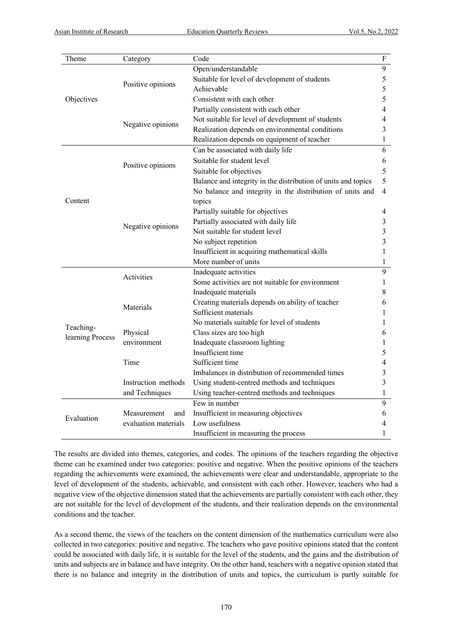| Theme            | Category                | Code                                                          | ${\bf F}$               |
|------------------|-------------------------|---------------------------------------------------------------|-------------------------|
|                  |                         | Open/understandable                                           | 9                       |
|                  | Positive opinions       | Suitable for level of development of students                 | 5                       |
|                  |                         | Achievable                                                    | 5                       |
| Objectives       |                         | Consistent with each other                                    | 5                       |
|                  | Negative opinions       | Partially consistent with each other                          | 4                       |
|                  |                         | Not suitable for level of development of students             | 4                       |
|                  |                         | Realization depends on environmental conditions               | 3                       |
|                  |                         | Realization depends on equipment of teacher                   | $\mathbf{1}$            |
| Content          | Positive opinions       | Can be associated with daily life                             | 6                       |
|                  |                         | Suitable for student level                                    | 6                       |
|                  |                         | Suitable for objectives                                       | 5                       |
|                  |                         | Balance and integrity in the distribution of units and topics | 5                       |
|                  |                         | No balance and integrity in the distribution of units and     | $\overline{4}$          |
|                  | Negative opinions       | topics                                                        |                         |
|                  |                         | Partially suitable for objectives                             | 4                       |
|                  |                         | Partially associated with daily life                          | 3                       |
|                  |                         | Not suitable for student level                                | 3                       |
|                  |                         | No subject repetition                                         | $\overline{\mathbf{3}}$ |
|                  |                         | Insufficient in acquiring mathematical skills                 | 1                       |
|                  |                         | More number of units                                          | 1                       |
|                  | Activities<br>Materials | Inadequate activities                                         | $\overline{9}$          |
|                  |                         | Some activities are not suitable for environment              | 1                       |
|                  |                         | Inadequate materials                                          | 8                       |
|                  |                         | Creating materials depends on ability of teacher              | 6                       |
|                  |                         | Sufficient materials                                          | 1                       |
|                  |                         | No materials suitable for level of students                   | 1                       |
| Teaching-        | Physical                | Class sizes are too high                                      | 6                       |
| learning Process | environment             | Inadequate classroom lighting                                 | 1                       |
|                  |                         | Insufficient time                                             | 5                       |
|                  | Time                    | Sufficient time                                               | 4                       |
|                  |                         | Imbalances in distribution of recommended times               | $\mathfrak{Z}$          |
|                  | Instruction methods     | Using student-centred methods and techniques                  | $\mathfrak{Z}$          |
|                  | and Techniques          | Using teacher-centred methods and techniques                  | $\mathbf{1}$            |
| Evaluation       |                         | Few in number                                                 | $\overline{9}$          |
|                  | Measurement<br>and      | Insufficient in measuring objectives                          | 6                       |
|                  | evaluation materials    | Low usefulness                                                | 4                       |
|                  |                         | Insufficient in measuring the process                         | 1                       |

The results are divided into themes, categories, and codes. The opinions of the teachers regarding the objective theme can be examined under two categories: positive and negative. When the positive opinions of the teachers regarding the achievements were examined, the achievements were clear and understandable, appropriate to the level of development of the students, achievable, and consistent with each other. However, teachers who had a negative view of the objective dimension stated that the achievements are partially consistent with each other, they are not suitable for the level of development of the students, and their realization depends on the environmental conditions and the teacher.

As a second theme, the views of the teachers on the content dimension of the mathematics curriculum were also collected in two categories: positive and negative. The teachers who gave positive opinions stated that the content could be associated with daily life, it is suitable for the level of the students, and the gains and the distribution of units and subjects are in balance and have integrity. On the other hand, teachers with a negative opinion stated that there is no balance and integrity in the distribution of units and topics, the curriculum is partly suitable for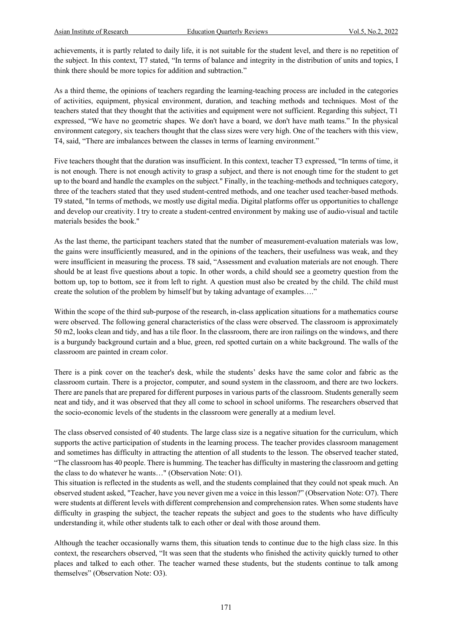achievements, it is partly related to daily life, it is not suitable for the student level, and there is no repetition of the subject. In this context, T7 stated, "In terms of balance and integrity in the distribution of units and topics, I think there should be more topics for addition and subtraction."

As a third theme, the opinions of teachers regarding the learning-teaching process are included in the categories of activities, equipment, physical environment, duration, and teaching methods and techniques. Most of the teachers stated that they thought that the activities and equipment were not sufficient. Regarding this subject, T1 expressed, "We have no geometric shapes. We don't have a board, we don't have math teams." In the physical environment category, six teachers thought that the class sizes were very high. One of the teachers with this view, T4, said, "There are imbalances between the classes in terms of learning environment."

Five teachers thought that the duration was insufficient. In this context, teacher T3 expressed, "In terms of time, it is not enough. There is not enough activity to grasp a subject, and there is not enough time for the student to get up to the board and handle the examples on the subject." Finally, in the teaching-methods and techniques category, three of the teachers stated that they used student-centred methods, and one teacher used teacher-based methods. T9 stated, "In terms of methods, we mostly use digital media. Digital platforms offer us opportunities to challenge and develop our creativity. I try to create a student-centred environment by making use of audio-visual and tactile materials besides the book."

As the last theme, the participant teachers stated that the number of measurement-evaluation materials was low, the gains were insufficiently measured, and in the opinions of the teachers, their usefulness was weak, and they were insufficient in measuring the process. T8 said, "Assessment and evaluation materials are not enough. There should be at least five questions about a topic. In other words, a child should see a geometry question from the bottom up, top to bottom, see it from left to right. A question must also be created by the child. The child must create the solution of the problem by himself but by taking advantage of examples…."

Within the scope of the third sub-purpose of the research, in-class application situations for a mathematics course were observed. The following general characteristics of the class were observed. The classroom is approximately 50 m2, looks clean and tidy, and has a tile floor. In the classroom, there are iron railings on the windows, and there is a burgundy background curtain and a blue, green, red spotted curtain on a white background. The walls of the classroom are painted in cream color.

There is a pink cover on the teacher's desk, while the students' desks have the same color and fabric as the classroom curtain. There is a projector, computer, and sound system in the classroom, and there are two lockers. There are panels that are prepared for different purposes in various parts of the classroom. Students generally seem neat and tidy, and it was observed that they all come to school in school uniforms. The researchers observed that the socio-economic levels of the students in the classroom were generally at a medium level.

The class observed consisted of 40 students. The large class size is a negative situation for the curriculum, which supports the active participation of students in the learning process. The teacher provides classroom management and sometimes has difficulty in attracting the attention of all students to the lesson. The observed teacher stated, "The classroom has 40 people. There is humming. The teacher has difficulty in mastering the classroom and getting the class to do whatever he wants…" (Observation Note: O1).

This situation is reflected in the students as well, and the students complained that they could not speak much. An observed student asked, "Teacher, have you never given me a voice in this lesson?" (Observation Note: O7). There were students at different levels with different comprehension and comprehension rates. When some students have difficulty in grasping the subject, the teacher repeats the subject and goes to the students who have difficulty understanding it, while other students talk to each other or deal with those around them.

Although the teacher occasionally warns them, this situation tends to continue due to the high class size. In this context, the researchers observed, "It was seen that the students who finished the activity quickly turned to other places and talked to each other. The teacher warned these students, but the students continue to talk among themselves" (Observation Note: O3).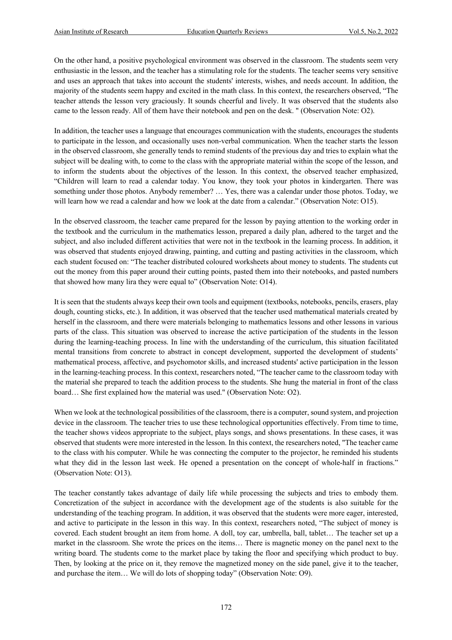On the other hand, a positive psychological environment was observed in the classroom. The students seem very enthusiastic in the lesson, and the teacher has a stimulating role for the students. The teacher seems very sensitive and uses an approach that takes into account the students' interests, wishes, and needs account. In addition, the majority of the students seem happy and excited in the math class. In this context, the researchers observed, "The teacher attends the lesson very graciously. It sounds cheerful and lively. It was observed that the students also came to the lesson ready. All of them have their notebook and pen on the desk. " (Observation Note: O2).

In addition, the teacher uses a language that encourages communication with the students, encourages the students to participate in the lesson, and occasionally uses non-verbal communication. When the teacher starts the lesson in the observed classroom, she generally tends to remind students of the previous day and tries to explain what the subject will be dealing with, to come to the class with the appropriate material within the scope of the lesson, and to inform the students about the objectives of the lesson. In this context, the observed teacher emphasized, "Children will learn to read a calendar today. You know, they took your photos in kindergarten. There was something under those photos. Anybody remember? … Yes, there was a calendar under those photos. Today, we will learn how we read a calendar and how we look at the date from a calendar." (Observation Note: O15).

In the observed classroom, the teacher came prepared for the lesson by paying attention to the working order in the textbook and the curriculum in the mathematics lesson, prepared a daily plan, adhered to the target and the subject, and also included different activities that were not in the textbook in the learning process. In addition, it was observed that students enjoyed drawing, painting, and cutting and pasting activities in the classroom, which each student focused on: "The teacher distributed coloured worksheets about money to students. The students cut out the money from this paper around their cutting points, pasted them into their notebooks, and pasted numbers that showed how many lira they were equal to" (Observation Note: O14).

It is seen that the students always keep their own tools and equipment (textbooks, notebooks, pencils, erasers, play dough, counting sticks, etc.). In addition, it was observed that the teacher used mathematical materials created by herself in the classroom, and there were materials belonging to mathematics lessons and other lessons in various parts of the class. This situation was observed to increase the active participation of the students in the lesson during the learning-teaching process. In line with the understanding of the curriculum, this situation facilitated mental transitions from concrete to abstract in concept development, supported the development of students' mathematical process, affective, and psychomotor skills, and increased students' active participation in the lesson in the learning-teaching process. In this context, researchers noted, "The teacher came to the classroom today with the material she prepared to teach the addition process to the students. She hung the material in front of the class board… She first explained how the material was used." (Observation Note: O2).

When we look at the technological possibilities of the classroom, there is a computer, sound system, and projection device in the classroom. The teacher tries to use these technological opportunities effectively. From time to time, the teacher shows videos appropriate to the subject, plays songs, and shows presentations. In these cases, it was observed that students were more interested in the lesson. In this context, the researchers noted, "The teacher came to the class with his computer. While he was connecting the computer to the projector, he reminded his students what they did in the lesson last week. He opened a presentation on the concept of whole-half in fractions." (Observation Note: O13).

The teacher constantly takes advantage of daily life while processing the subjects and tries to embody them. Concretization of the subject in accordance with the development age of the students is also suitable for the understanding of the teaching program. In addition, it was observed that the students were more eager, interested, and active to participate in the lesson in this way. In this context, researchers noted, "The subject of money is covered. Each student brought an item from home. A doll, toy car, umbrella, ball, tablet… The teacher set up a market in the classroom. She wrote the prices on the items… There is magnetic money on the panel next to the writing board. The students come to the market place by taking the floor and specifying which product to buy. Then, by looking at the price on it, they remove the magnetized money on the side panel, give it to the teacher, and purchase the item… We will do lots of shopping today" (Observation Note: O9).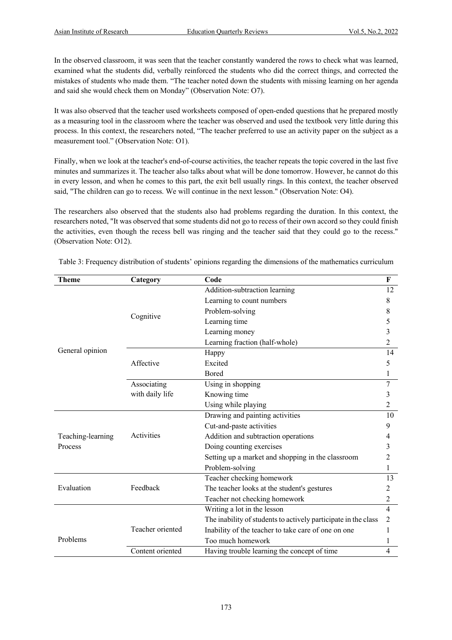In the observed classroom, it was seen that the teacher constantly wandered the rows to check what was learned, examined what the students did, verbally reinforced the students who did the correct things, and corrected the mistakes of students who made them. "The teacher noted down the students with missing learning on her agenda and said she would check them on Monday" (Observation Note: O7).

It was also observed that the teacher used worksheets composed of open-ended questions that he prepared mostly as a measuring tool in the classroom where the teacher was observed and used the textbook very little during this process. In this context, the researchers noted, "The teacher preferred to use an activity paper on the subject as a measurement tool." (Observation Note: O1).

Finally, when we look at the teacher's end-of-course activities, the teacher repeats the topic covered in the last five minutes and summarizes it. The teacher also talks about what will be done tomorrow. However, he cannot do this in every lesson, and when he comes to this part, the exit bell usually rings. In this context, the teacher observed said, "The children can go to recess. We will continue in the next lesson." (Observation Note: O4).

The researchers also observed that the students also had problems regarding the duration. In this context, the researchers noted, "It was observed that some students did not go to recess of their own accord so they could finish the activities, even though the recess bell was ringing and the teacher said that they could go to the recess." (Observation Note: O12).

| Theme             | Category         | Code                                                           | F                       |
|-------------------|------------------|----------------------------------------------------------------|-------------------------|
|                   | Cognitive        | Addition-subtraction learning                                  | 12                      |
|                   |                  | Learning to count numbers                                      | 8                       |
|                   |                  | Problem-solving                                                | 8                       |
|                   |                  | Learning time                                                  | 5                       |
|                   |                  | Learning money                                                 | 3                       |
|                   |                  | Learning fraction (half-whole)                                 | $\overline{c}$          |
| General opinion   |                  | Happy                                                          | 14                      |
|                   | Affective        | Excited                                                        | 5                       |
|                   |                  | <b>Bored</b>                                                   | 1                       |
|                   | Associating      | Using in shopping                                              |                         |
|                   | with daily life  | Knowing time                                                   | 3                       |
|                   |                  | Using while playing                                            | $\overline{c}$          |
|                   |                  | Drawing and painting activities                                | 10                      |
|                   |                  | Cut-and-paste activities                                       | 9                       |
| Teaching-learning | Activities       | Addition and subtraction operations                            | 4                       |
| Process           |                  | Doing counting exercises                                       | 3                       |
|                   |                  | Setting up a market and shopping in the classroom              | 2                       |
|                   |                  | Problem-solving                                                | 1                       |
|                   |                  | Teacher checking homework                                      | 13                      |
| Evaluation        | Feedback         | The teacher looks at the student's gestures                    | 2                       |
|                   |                  | Teacher not checking homework                                  | 2                       |
|                   |                  | Writing a lot in the lesson                                    | $\overline{\mathbf{4}}$ |
|                   |                  | The inability of students to actively participate in the class | 2                       |
| Problems          | Teacher oriented | Inability of the teacher to take care of one on one            | 1                       |
|                   |                  | Too much homework                                              | 1                       |
|                   | Content oriented | Having trouble learning the concept of time                    | 4                       |

Table 3: Frequency distribution of students' opinions regarding the dimensions of the mathematics curriculum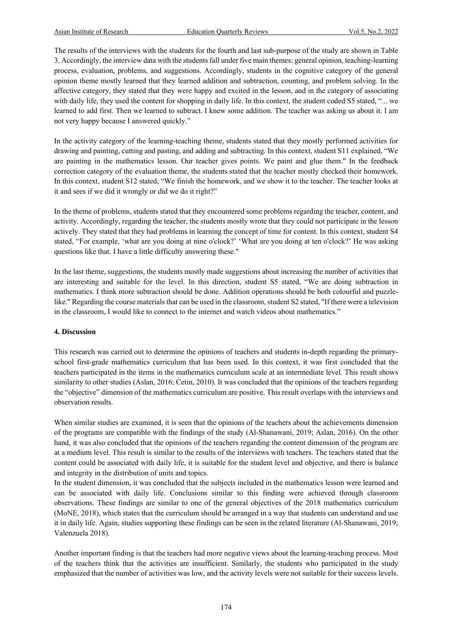The results of the interviews with the students for the fourth and last sub-purpose of the study are shown in Table 3. Accordingly, the interview data with the students fall under five main themes: general opinion, teaching-learning process, evaluation, problems, and suggestions. Accordingly, students in the cognitive category of the general opinion theme mostly learned that they learned addition and subtraction, counting, and problem solving. In the affective category, they stated that they were happy and excited in the lesson, and in the category of associating with daily life, they used the content for shopping in daily life. In this context, the student coded S5 stated, "... we learned to add first. Then we learned to subtract. I knew some addition. The teacher was asking us about it. I am not very happy because I answered quickly."

In the activity category of the learning-teaching theme, students stated that they mostly performed activities for drawing and painting, cutting and pasting, and adding and subtracting. In this context, student S11 explained, "We are painting in the mathematics lesson. Our teacher gives points. We paint and glue them." In the feedback correction category of the evaluation theme, the students stated that the teacher mostly checked their homework. In this context, student S12 stated, "We finish the homework, and we show it to the teacher. The teacher looks at it and sees if we did it wrongly or did we do it right?"

In the theme of problems, students stated that they encountered some problems regarding the teacher, content, and activity. Accordingly, regarding the teacher, the students mostly wrote that they could not participate in the lesson actively. They stated that they had problems in learning the concept of time for content. In this context, student S4 stated, "For example, 'what are you doing at nine o'clock?' 'What are you doing at ten o'clock?' He was asking questions like that. I have a little difficulty answering these."

In the last theme, suggestions, the students mostly made suggestions about increasing the number of activities that are interesting and suitable for the level. In this direction, student S5 stated, "We are doing subtraction in mathematics. I think more subtraction should be done. Addition operations should be both colourful and puzzlelike." Regarding the course materials that can be used in the classroom, student S2 stated, "If there were a television in the classroom, I would like to connect to the internet and watch videos about mathematics."

#### **4. Discussion**

This research was carried out to determine the opinions of teachers and students in-depth regarding the primaryschool first-grade mathematics curriculum that has been used. In this context, it was first concluded that the teachers participated in the items in the mathematics curriculum scale at an intermediate level. This result shows similarity to other studies (Aslan, 2016; Cetin, 2010). It was concluded that the opinions of the teachers regarding the "objective" dimension of the mathematics curriculum are positive. This result overlaps with the interviews and observation results.

When similar studies are examined, it is seen that the opinions of the teachers about the achievements dimension of the programs are compatible with the findings of the study (Al-Shanawani, 2019; Aslan, 2016). On the other hand, it was also concluded that the opinions of the teachers regarding the content dimension of the program are at a medium level. This result is similar to the results of the interviews with teachers. The teachers stated that the content could be associated with daily life, it is suitable for the student level and objective, and there is balance and integrity in the distribution of units and topics.

In the student dimension, it was concluded that the subjects included in the mathematics lesson were learned and can be associated with daily life. Conclusions similar to this finding were achieved through classroom observations. These findings are similar to one of the general objectives of the 2018 mathematics curriculum (MoNE, 2018), which states that the curriculum should be arranged in a way that students can understand and use it in daily life. Again, studies supporting these findings can be seen in the related literature (Al-Shanawani, 2019; Valenzuela 2018).

Another important finding is that the teachers had more negative views about the learning-teaching process. Most of the teachers think that the activities are insufficient. Similarly, the students who participated in the study emphasized that the number of activities was low, and the activity levels were not suitable for their success levels.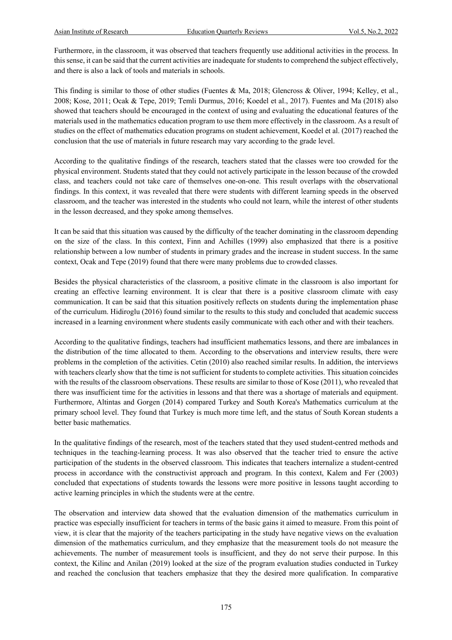Furthermore, in the classroom, it was observed that teachers frequently use additional activities in the process. In this sense, it can be said that the current activities are inadequate for students to comprehend the subject effectively, and there is also a lack of tools and materials in schools.

This finding is similar to those of other studies (Fuentes & Ma, 2018; Glencross & Oliver, 1994; Kelley, et al., 2008; Kose, 2011; Ocak & Tepe, 2019; Temli Durmus, 2016; Koedel et al., 2017). Fuentes and Ma (2018) also showed that teachers should be encouraged in the context of using and evaluating the educational features of the materials used in the mathematics education program to use them more effectively in the classroom. As a result of studies on the effect of mathematics education programs on student achievement, Koedel et al. (2017) reached the conclusion that the use of materials in future research may vary according to the grade level.

According to the qualitative findings of the research, teachers stated that the classes were too crowded for the physical environment. Students stated that they could not actively participate in the lesson because of the crowded class, and teachers could not take care of themselves one-on-one. This result overlaps with the observational findings. In this context, it was revealed that there were students with different learning speeds in the observed classroom, and the teacher was interested in the students who could not learn, while the interest of other students in the lesson decreased, and they spoke among themselves.

It can be said that this situation was caused by the difficulty of the teacher dominating in the classroom depending on the size of the class. In this context, Finn and Achilles (1999) also emphasized that there is a positive relationship between a low number of students in primary grades and the increase in student success. In the same context, Ocak and Tepe (2019) found that there were many problems due to crowded classes.

Besides the physical characteristics of the classroom, a positive climate in the classroom is also important for creating an effective learning environment. It is clear that there is a positive classroom climate with easy communication. It can be said that this situation positively reflects on students during the implementation phase of the curriculum. Hidiroglu (2016) found similar to the results to this study and concluded that academic success increased in a learning environment where students easily communicate with each other and with their teachers.

According to the qualitative findings, teachers had insufficient mathematics lessons, and there are imbalances in the distribution of the time allocated to them. According to the observations and interview results, there were problems in the completion of the activities. Cetin (2010) also reached similar results. In addition, the interviews with teachers clearly show that the time is not sufficient for students to complete activities. This situation coincides with the results of the classroom observations. These results are similar to those of Kose (2011), who revealed that there was insufficient time for the activities in lessons and that there was a shortage of materials and equipment. Furthermore, Altintas and Gorgen (2014) compared Turkey and South Korea's Mathematics curriculum at the primary school level. They found that Turkey is much more time left, and the status of South Korean students a better basic mathematics.

In the qualitative findings of the research, most of the teachers stated that they used student-centred methods and techniques in the teaching-learning process. It was also observed that the teacher tried to ensure the active participation of the students in the observed classroom. This indicates that teachers internalize a student-centred process in accordance with the constructivist approach and program. In this context, Kalem and Fer (2003) concluded that expectations of students towards the lessons were more positive in lessons taught according to active learning principles in which the students were at the centre.

The observation and interview data showed that the evaluation dimension of the mathematics curriculum in practice was especially insufficient for teachers in terms of the basic gains it aimed to measure. From this point of view, it is clear that the majority of the teachers participating in the study have negative views on the evaluation dimension of the mathematics curriculum, and they emphasize that the measurement tools do not measure the achievements. The number of measurement tools is insufficient, and they do not serve their purpose. In this context, the Kilinc and Anilan (2019) looked at the size of the program evaluation studies conducted in Turkey and reached the conclusion that teachers emphasize that they the desired more qualification. In comparative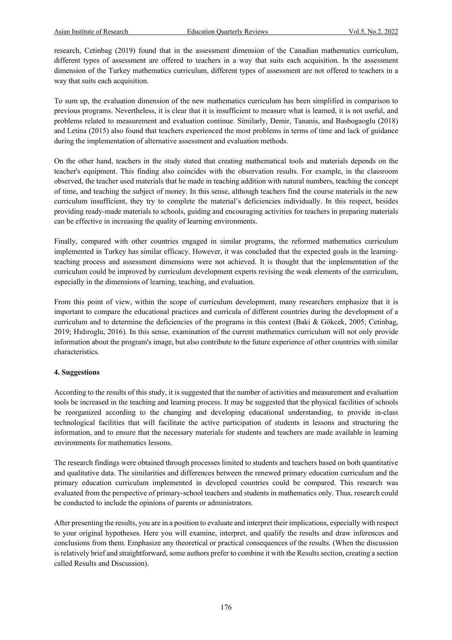research, Cetinbag (2019) found that in the assessment dimension of the Canadian mathematics curriculum, different types of assessment are offered to teachers in a way that suits each acquisition. In the assessment dimension of the Turkey mathematics curriculum, different types of assessment are not offered to teachers in a way that suits each acquisition.

To sum up, the evaluation dimension of the new mathematics curriculum has been simplified in comparison to previous programs. Nevertheless, it is clear that it is insufficient to measure what is learned, it is not useful, and problems related to measurement and evaluation continue. Similarly, Demir, Tananis, and Basbogaoglu (2018) and Letina (2015) also found that teachers experienced the most problems in terms of time and lack of guidance during the implementation of alternative assessment and evaluation methods.

On the other hand, teachers in the study stated that creating mathematical tools and materials depends on the teacher's equipment. This finding also coincides with the observation results. For example, in the classroom observed, the teacher used materials that he made in teaching addition with natural numbers, teaching the concept of time, and teaching the subject of money. In this sense, although teachers find the course materials in the new curriculum insufficient, they try to complete the material's deficiencies individually. In this respect, besides providing ready-made materials to schools, guiding and encouraging activities for teachers in preparing materials can be effective in increasing the quality of learning environments.

Finally, compared with other countries engaged in similar programs, the reformed mathematics curriculum implemented in Turkey has similar efficacy. However, it was concluded that the expected goals in the learningteaching process and assessment dimensions were not achieved. It is thought that the implementation of the curriculum could be improved by curriculum development experts revising the weak elements of the curriculum, especially in the dimensions of learning, teaching, and evaluation.

From this point of view, within the scope of curriculum development, many researchers emphasize that it is important to compare the educational practices and curricula of different countries during the development of a curriculum and to determine the deficiencies of the programs in this context (Baki & Gökcek, 2005; Cetinbag, 2019; Hıdıroglu, 2016). In this sense, examination of the current mathematics curriculum will not only provide information about the program's image, but also contribute to the future experience of other countries with similar characteristics.

#### **4. Suggestions**

According to the results of this study, it is suggested that the number of activities and measurement and evaluation tools be increased in the teaching and learning process. It may be suggested that the physical facilities of schools be reorganized according to the changing and developing educational understanding, to provide in-class technological facilities that will facilitate the active participation of students in lessons and structuring the information, and to ensure that the necessary materials for students and teachers are made available in learning environments for mathematics lessons.

The research findings were obtained through processes limited to students and teachers based on both quantitative and qualitative data. The similarities and differences between the renewed primary education curriculum and the primary education curriculum implemented in developed countries could be compared. This research was evaluated from the perspective of primary-school teachers and students in mathematics only. Thus, research could be conducted to include the opinions of parents or administrators.

After presenting the results, you are in a position to evaluate and interpret their implications, especially with respect to your original hypotheses. Here you will examine, interpret, and qualify the results and draw inferences and conclusions from them. Emphasize any theoretical or practical consequences of the results. (When the discussion is relatively brief and straightforward, some authors prefer to combine it with the Results section, creating a section called Results and Discussion).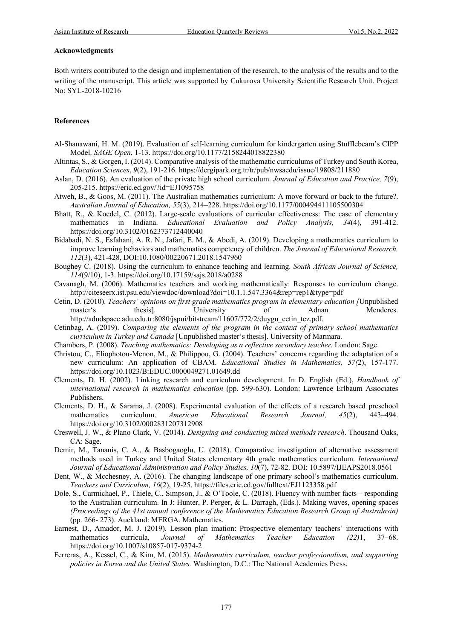#### **Acknowledgments**

Both writers contributed to the design and implementation of the research, to the analysis of the results and to the writing of the manuscript. This article was supported by Cukurova University Scientific Research Unit. Project No: SYL-2018-10216

#### **References**

- Al-Shanawani, H. M. (2019). Evaluation of self-learning curriculum for kindergarten using Stufflebeam's CIPP Model. *SAGE Open*, 1-13. https://doi.org/10.1177/2158244018822380
- Altintas, S., & Gorgen, I. (2014). Comparative analysis of the mathematic curriculums of Turkey and South Korea, *Education Sciences*, *9*(2), 191-216. https://dergipark.org.tr/tr/pub/nwsaedu/issue/19808/211880
- Aslan, D. (2016). An evaluation of the private high school curriculum. *Journal of Education and Practice, 7*(9), 205-215. https://eric.ed.gov/?id=EJ1095758
- Atweh, B., & Goos, M. (2011). The Australian mathematics curriculum: A move forward or back to the future?. *Australian Journal of Education, 55*(3), 214–228. https://doi.org/10.1177/000494411105500304
- Bhatt, R., & Koedel, C. (2012). Large-scale evaluations of curricular effectiveness: The case of elementary mathematics in Indiana. *Educational Evaluation and Policy Analysis, 34*(4), 391-412. https://doi.org/10.3102/0162373712440040
- Bidabadi, N. S., Esfahani, A. R. N., Jafari, E. M., & Abedi, A. (2019). Developing a mathematics curriculum to improve learning behaviors and mathematics competency of children. *The Journal of Educational Research, 112*(3), 421-428, DOI:10.1080/00220671.2018.1547960
- Boughey C. (2018). Using the curriculum to enhance teaching and learning. *South African Journal of Science, 114*(9/10), 1-3. https://doi.org/10.17159/sajs.2018/a0288
- Cavanagh, M. (2006). Mathematics teachers and working mathematically: Responses to curriculum change. http://citeseerx.ist.psu.edu/viewdoc/download?doi=10.1.1.547.3364&rep=rep1&type=pdf
- Cetin, D. (2010). *Teachers' opinions on first grade mathematics program in elementary education [*Unpublished master's thesis]. University of Adnan Menderes. http://adudspace.adu.edu.tr:8080/jspui/bitstream/11607/772/2/duygu\_cetin\_tez.pdf.
- Cetinbag, A. (2019). *Comparing the elements of the program in the context of primary school mathematics curriculum in Turkey and Canada* [Unpublished master's thesis]. University of Marmara.
- Chambers, P. (2008). *Teaching mathematics: Developing as a reflective secondary teacher*. London: Sage.
- Christou, C., Eliophotou-Menon, M., & Philippou, G. (2004). Teachers' concerns regarding the adaptation of a new curriculum: An application of CBAM. *Educational Studies in Mathematics, 57(*2), 157-177. https://doi.org/10.1023/B:EDUC.0000049271.01649.dd
- Clements, D. H. (2002). Linking research and curriculum development. In D. English (Ed.), *Handbook of ınternational research in mathematics education* (pp. 599-630). London: Lawrence Erlbaum Assocıates Publishers.
- Clements, D. H., & Sarama, J. (2008). Experimental evaluation of the effects of a research based preschool mathematics curriculum. *American Educational Research Journal, 45*(2), 443–494. https://doi.org/10.3102/0002831207312908
- Creswell, J. W., & Plano Clark, V. (2014). *Designing and conducting mixed methods research*. Thousand Oaks, CA: Sage.
- Demir, M., Tananis, C. A., & Basbogaoglu, U. (2018). Comparative investigation of alternative assessment methods used in Turkey and United States elementary 4th grade mathematics curriculum. *International Journal of Educational Administration and Policy Studies, 10*(7), 72-82. DOI: 10.5897/IJEAPS2018.0561
- Dent, W., & Mcchesney, A. (2016). The changing landscape of one primary school's mathematics curriculum. *Teachers and Curriculum, 16*(2), 19-25. https://files.eric.ed.gov/fulltext/EJ1123358.pdf
- Dole, S., Carmichael, P., Thiele, C., Simpson, J., & O'Toole, C. (2018). Fluency with number facts responding to the Australian curriculum. In J: Hunter, P. Perger, & L. Darragh, (Eds.). Making waves, opening spaces *(Proceedings of the 41st annual conference of the Mathematics Education Research Group of Australasia)* (pp. 266- 273). Auckland: MERGA. Mathematics.
- Earnest, D., Amador, M. J. (2019). Lesson plan imation: Prospective elementary teachers' interactions with mathematics curricula, *Journal of Mathematics Teacher Education (22)*1, 37–68. https://doi.org/10.1007/s10857-017-9374-2
- Ferreras, A., Kessel, C., & Kim, M. (2015). *Mathematics curriculum, teacher professionalism, and supporting policies in Korea and the United States.* Washington, D.C.: The National Academies Press.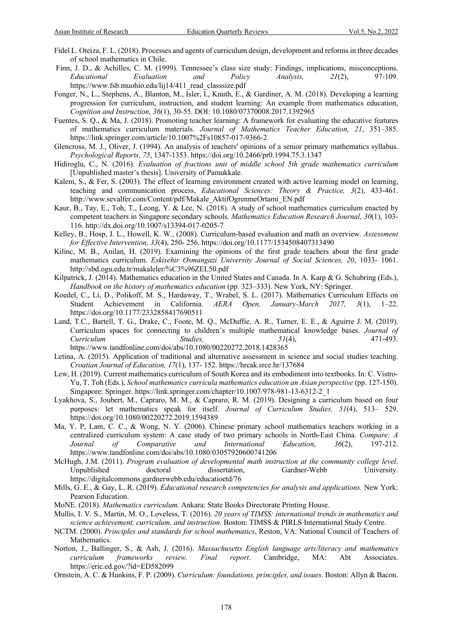- Fidel L. Oteiza, F. L. (2018). Processes and agents of curriculum design, development and reforms in three decades of school mathematics in Chile.
- Finn, J. D., & Achilles, C. M. (1999). Tennessee's class size study: Findings, implications, misconceptions. *Educational Evaluation and Policy Analysis, 21*(2), 97-109. https://www.fsb.muohio.edu/lij14/411\_read\_classsize.pdf
- Fonger, N., L., Stephens, A., Blanton, M., Isler, I., Knuth, E., & Gardiner, A. M. (2018). Developing a learning progression for curriculum, instruction, and student learning: An example from mathematics education, *Cognition and Instruction, 36*(1), 30-55. DOI: 10.1080/07370008.2017.1392965
- Fuentes, S. Q., & Ma, J. (2018). Promoting teacher learning: A framework for evaluating the educative features of mathematics curriculum materials. *Journal of Mathematics Teacher Education, 21*, 351–385. https://link.springer.com/article/10.1007%2Fs10857-017-9366-2
- Glencross, M. J., Oliver, J. (1994). An analysis of teachers' opinions of a senior primary mathematics syllabus. *Psychological Reports, 75*, 1347-1353. https://doi.org/10.2466/pr0.1994.75.3.1347
- Hidiroglu, C., N. (2016). *Evaluation of fractions unit of middle school 5th grade mathematics curriculum*  [Unpublished master's thesis]. University of Pamukkale.
- Kalem, S., & Fer, S. (2003). The effect of learning environment created with active learning model on learning, teaching and communication process, *Educational Sciences: Theory & Practice, 3*(2), 433-461. http://www.sevalfer.com/Content/pdf/Makale\_AktifOgrenmeOrtami\_EN.pdf
- Kaur, B., Tay, E., Toh, T., Leong, Y. & Lee, N. (2018). A study of school mathematics curriculum enacted by competent teachers in Singapore secondary schools. *Mathematics Education Research Journal, 30*(1), 103- 116. http://dx.doi.org/10.1007/s13394-017-0205-7
- Kelley, B., Hosp, J. L., Howell, K. W., (2008). Curriculum-based evaluation and math an overview. *Assessment for Effective Intervention, 33*(4), 250- 256. https://doi.org/10.1177/1534508407313490
- Kilinc, M. B., Anilan, H. (2019). Examining the opinions of the first grade teachers about the first grade mathematics curriculum. *Eskisehir Osmangazi University Journal of Social Sciences, 20*, 1033- 1061. http://sbd.ogu.edu.tr/makaleler/%C3%96ZEL50.pdf
- Kilpatrick, J. (2014). Mathematics education in the United States and Canada. In A. Karp & G. Schubring (Eds.), *Handbook on the history of mathematics education* (pp. 323–333). New York, NY: Springer.
- Koedel, C., Li, D., Polikoff, M. S., Hardaway, T., Wrabel, S. L. (2017). Mathematics Curriculum Effects on Student Achievement in California. *AERA Open, January-March 2017, 3*(1), 1–22. https://doi.org/10.1177/2332858417690511
- Land, T.C., Bartell, T. G., Drake, C., Foote, M. Q., McDuffie, A. R., Turner, E. E., & Aguirre J. M. (2019). Curriculum spaces for connecting to children's multiple mathematical knowledge bases. *Journal of Curriculum Studies, 51*(4), 471-493. https://www.tandfonline.com/doi/abs/10.1080/00220272.2018.1428365
- Letina, A. (2015). Application of traditional and alternative assessment in science and social studies teaching. *Croatian Journal of Education, 17*(1), 137- 152. https://hrcak.srce.hr/137684
- Lew, H. (2019). Current mathematics curriculum of South Korea and its embodiment into textbooks. In: C. Vistro-Yu, T. Toh (Eds.), *School mathematics curricula mathematics education an Asian perspective* (pp. 127-150). Singapore: Springer. https://link.springer.com/chapter/10.1007/978-981-13-6312-2\_1
- Lyakhova, S., Joubert, M., Capraro, M. M., & Capraro, R. M. (2019). Designing a curriculum based on four purposes: let mathematics speak for itself. *Journal of Curriculum Studies, 51*(4), 513– 529. https://doi.org/10.1080/00220272.2019.1594389
- Ma, Y. P, Lam, C. C., & Wong, N. Y. (2006). Chinese primary school mathematics teachers working in a centralized curriculum system: A case study of two primary schools in North-East China. *Compare: A Journal of Comparative and International Education*, *36*(2), 197-212. https://www.tandfonline.com/doi/abs/10.1080/03057920600741206
- McHugh, J.M. (2011). *Program evaluation of developmental math instruction at the community college level*. Unpublished doctoral dissertation, Gardner-Webb University. https://digitalcommons.gardnerwebb.edu/educatioetd/76
- Mills, G. E., & Gay, L. R. (2019). *Educational research competencies for analysis and applications.* New York: Pearson Education.
- MoNE. (2018). *Mathematics curriculum.* Ankara: State Books Directorate Printing House.
- Mullis, I. V. S., Martin, M. O., Loveless, T. (2016). *20 years of TIMSS: international trends in mathematics and science achievement, curriculum, and instruction.* Boston: TIMSS & PIRLS International Study Centre.
- NCTM. (2000). *Principles and standards for school mathematics*, Reston, VA: National Council of Teachers of Mathematics.
- Norton, J., Ballinger, S., & Ash, J. (2016). *Massachusetts English language arts/literacy and mathematics curriculum frameworks review. Final report*. Cambridge, MA: Abt Associates. https://eric.ed.gov/?id=ED582099
- Ornstein, A. C. & Hunkins, F. P. (2009). *Curriculum: foundations, principles, and issues*. Boston: Allyn & Bacon.